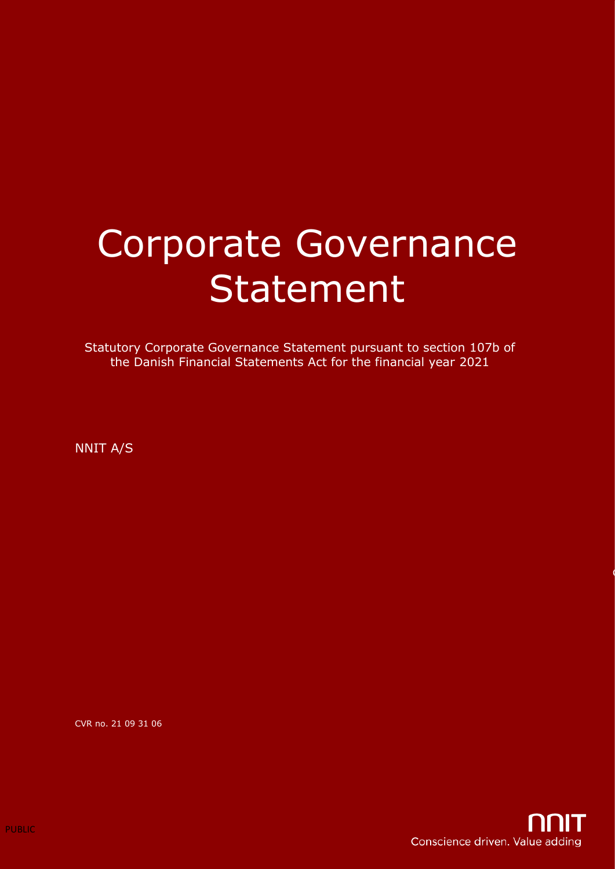# Corporate Governance Statement

Statutory Corporate Governance Statement pursuant to section 107b of the Danish Financial Statements Act for the financial year 2021

NNIT A/S

CVR no. 21 09 31 06

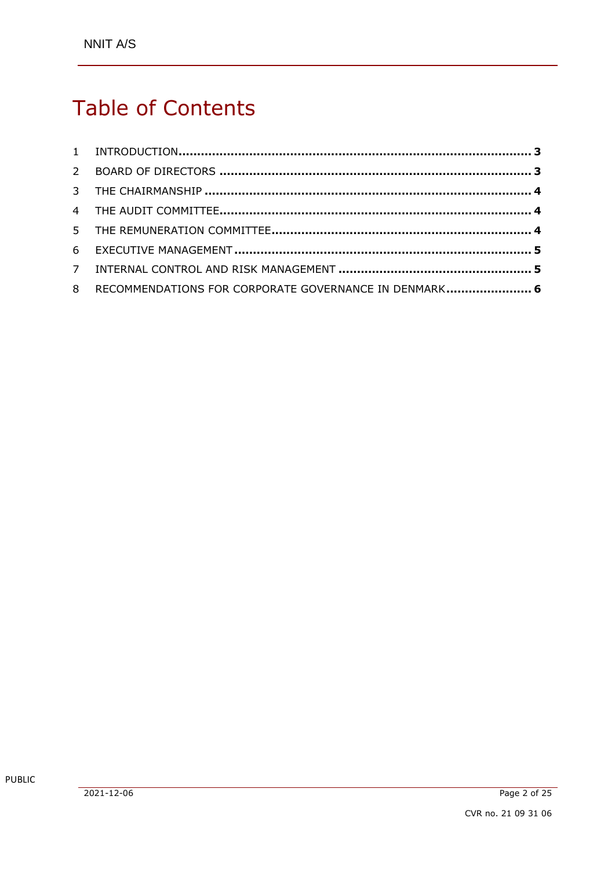# Table of Contents

| 8 RECOMMENDATIONS FOR CORPORATE GOVERNANCE IN DENMARK 6 |  |
|---------------------------------------------------------|--|
|                                                         |  |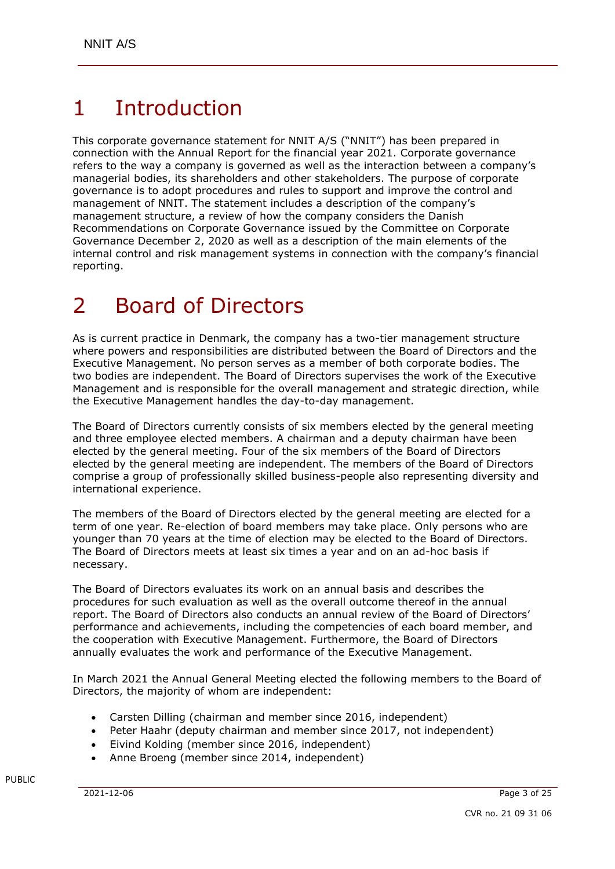# 1 Introduction

This corporate governance statement for NNIT A/S ("NNIT") has been prepared in connection with the Annual Report for the financial year 2021. Corporate governance refers to the way a company is governed as well as the interaction between a company's managerial bodies, its shareholders and other stakeholders. The purpose of corporate governance is to adopt procedures and rules to support and improve the control and management of NNIT. The statement includes a description of the company's management structure, a review of how the company considers the Danish Recommendations on Corporate Governance issued by the Committee on Corporate Governance December 2, 2020 as well as a description of the main elements of the internal control and risk management systems in connection with the company's financial reporting.

#### 2 Board of Directors

As is current practice in Denmark, the company has a two-tier management structure where powers and responsibilities are distributed between the Board of Directors and the Executive Management. No person serves as a member of both corporate bodies. The two bodies are independent. The Board of Directors supervises the work of the Executive Management and is responsible for the overall management and strategic direction, while the Executive Management handles the day-to-day management.

The Board of Directors currently consists of six members elected by the general meeting and three employee elected members. A chairman and a deputy chairman have been elected by the general meeting. Four of the six members of the Board of Directors elected by the general meeting are independent. The members of the Board of Directors comprise a group of professionally skilled business-people also representing diversity and international experience.

The members of the Board of Directors elected by the general meeting are elected for a term of one year. Re-election of board members may take place. Only persons who are younger than 70 years at the time of election may be elected to the Board of Directors. The Board of Directors meets at least six times a year and on an ad-hoc basis if necessary.

The Board of Directors evaluates its work on an annual basis and describes the procedures for such evaluation as well as the overall outcome thereof in the annual report. The Board of Directors also conducts an annual review of the Board of Directors' performance and achievements, including the competencies of each board member, and the cooperation with Executive Management. Furthermore, the Board of Directors annually evaluates the work and performance of the Executive Management.

In March 2021 the Annual General Meeting elected the following members to the Board of Directors, the majority of whom are independent:

- Carsten Dilling (chairman and member since 2016, independent)
- Peter Haahr (deputy chairman and member since 2017, not independent)
- Eivind Kolding (member since 2016, independent)
- Anne Broeng (member since 2014, independent)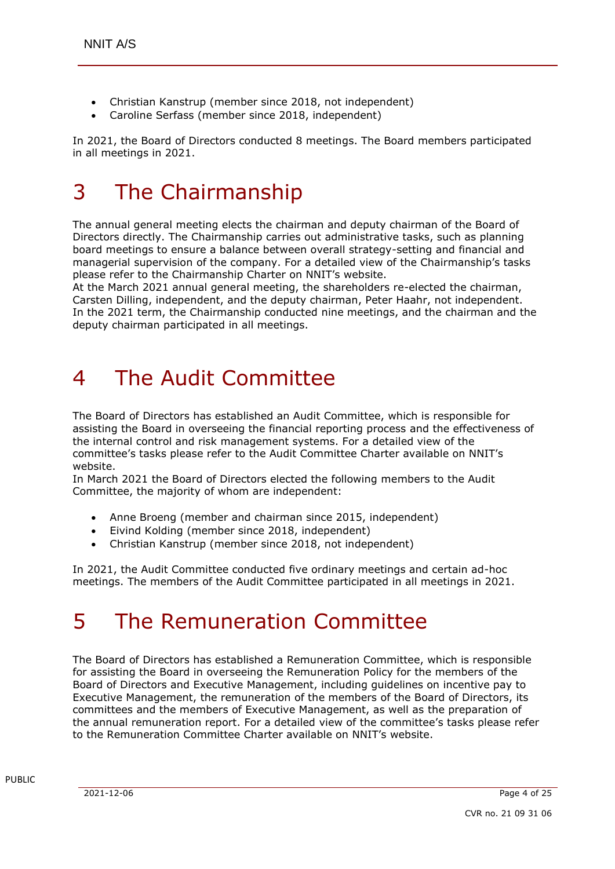- Christian Kanstrup (member since 2018, not independent)
- Caroline Serfass (member since 2018, independent)

In 2021, the Board of Directors conducted 8 meetings. The Board members participated in all meetings in 2021.

## 3 The Chairmanship

The annual general meeting elects the chairman and deputy chairman of the Board of Directors directly. The Chairmanship carries out administrative tasks, such as planning board meetings to ensure a balance between overall strategy-setting and financial and managerial supervision of the company. For a detailed view of the Chairmanship's tasks please refer to the Chairmanship Charter on NNIT's website.

At the March 2021 annual general meeting, the shareholders re-elected the chairman, Carsten Dilling, independent, and the deputy chairman, Peter Haahr, not independent. In the 2021 term, the Chairmanship conducted nine meetings, and the chairman and the deputy chairman participated in all meetings.

# 4 The Audit Committee

The Board of Directors has established an Audit Committee, which is responsible for assisting the Board in overseeing the financial reporting process and the effectiveness of the internal control and risk management systems. For a detailed view of the committee's tasks please refer to the Audit Committee Charter available on NNIT's website.

In March 2021 the Board of Directors elected the following members to the Audit Committee, the majority of whom are independent:

- Anne Broeng (member and chairman since 2015, independent)
- Eivind Kolding (member since 2018, independent)
- Christian Kanstrup (member since 2018, not independent)

In 2021, the Audit Committee conducted five ordinary meetings and certain ad-hoc meetings. The members of the Audit Committee participated in all meetings in 2021.

# 5 The Remuneration Committee

The Board of Directors has established a Remuneration Committee, which is responsible for assisting the Board in overseeing the Remuneration Policy for the members of the Board of Directors and Executive Management, including guidelines on incentive pay to Executive Management, the remuneration of the members of the Board of Directors, its committees and the members of Executive Management, as well as the preparation of the annual remuneration report. For a detailed view of the committee's tasks please refer to the Remuneration Committee Charter available on NNIT's website.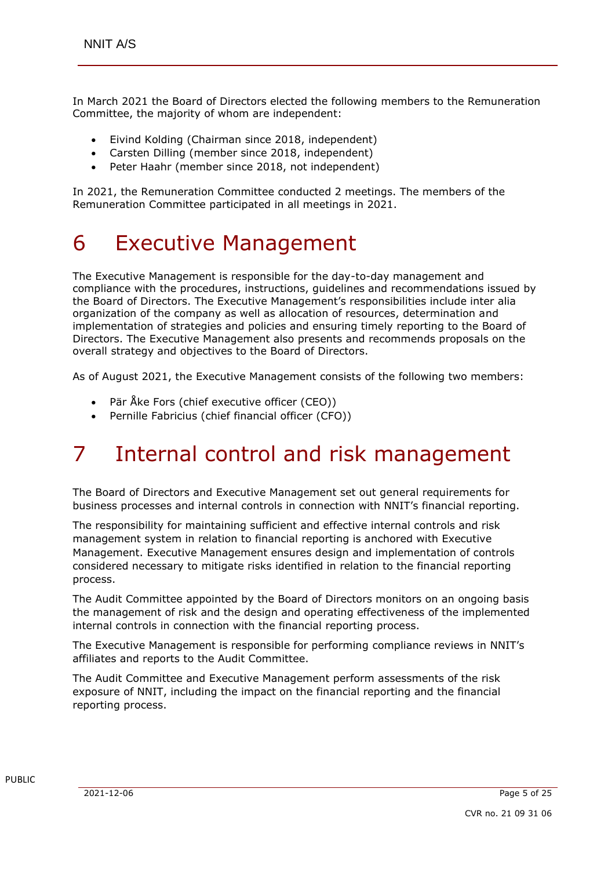In March 2021 the Board of Directors elected the following members to the Remuneration Committee, the majority of whom are independent:

- Eivind Kolding (Chairman since 2018, independent)
- Carsten Dilling (member since 2018, independent)
- Peter Haahr (member since 2018, not independent)

In 2021, the Remuneration Committee conducted 2 meetings. The members of the Remuneration Committee participated in all meetings in 2021.

#### 6 Executive Management

The Executive Management is responsible for the day-to-day management and compliance with the procedures, instructions, guidelines and recommendations issued by the Board of Directors. The Executive Management's responsibilities include inter alia organization of the company as well as allocation of resources, determination and implementation of strategies and policies and ensuring timely reporting to the Board of Directors. The Executive Management also presents and recommends proposals on the overall strategy and objectives to the Board of Directors.

As of August 2021, the Executive Management consists of the following two members:

- Pär Åke Fors (chief executive officer (CEO))
- Pernille Fabricius (chief financial officer (CFO))

# 7 Internal control and risk management

The Board of Directors and Executive Management set out general requirements for business processes and internal controls in connection with NNIT's financial reporting.

The responsibility for maintaining sufficient and effective internal controls and risk management system in relation to financial reporting is anchored with Executive Management. Executive Management ensures design and implementation of controls considered necessary to mitigate risks identified in relation to the financial reporting process.

The Audit Committee appointed by the Board of Directors monitors on an ongoing basis the management of risk and the design and operating effectiveness of the implemented internal controls in connection with the financial reporting process.

The Executive Management is responsible for performing compliance reviews in NNIT's affiliates and reports to the Audit Committee.

The Audit Committee and Executive Management perform assessments of the risk exposure of NNIT, including the impact on the financial reporting and the financial reporting process.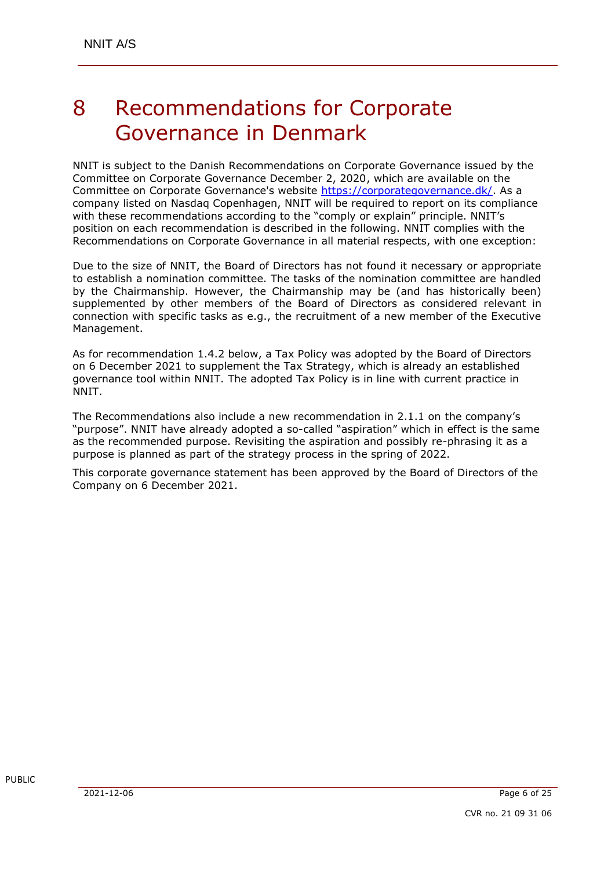#### 8 Recommendations for Corporate Governance in Denmark

NNIT is subject to the Danish Recommendations on Corporate Governance issued by the Committee on Corporate Governance December 2, 2020, which are available on the Committee on Corporate Governance's website [https://corporategovernance.dk/.](https://corporategovernance.dk/) As a company listed on Nasdaq Copenhagen, NNIT will be required to report on its compliance with these recommendations according to the "comply or explain" principle. NNIT's position on each recommendation is described in the following. NNIT complies with the Recommendations on Corporate Governance in all material respects, with one exception:

Due to the size of NNIT, the Board of Directors has not found it necessary or appropriate to establish a nomination committee. The tasks of the nomination committee are handled by the Chairmanship. However, the Chairmanship may be (and has historically been) supplemented by other members of the Board of Directors as considered relevant in connection with specific tasks as e.g., the recruitment of a new member of the Executive Management.

As for recommendation 1.4.2 below, a Tax Policy was adopted by the Board of Directors on 6 December 2021 to supplement the Tax Strategy, which is already an established governance tool within NNIT. The adopted Tax Policy is in line with current practice in NNIT.

The Recommendations also include a new recommendation in 2.1.1 on the company's "purpose". NNIT have already adopted a so-called "aspiration" which in effect is the same as the recommended purpose. Revisiting the aspiration and possibly re-phrasing it as a purpose is planned as part of the strategy process in the spring of 2022.

This corporate governance statement has been approved by the Board of Directors of the Company on 6 December 2021.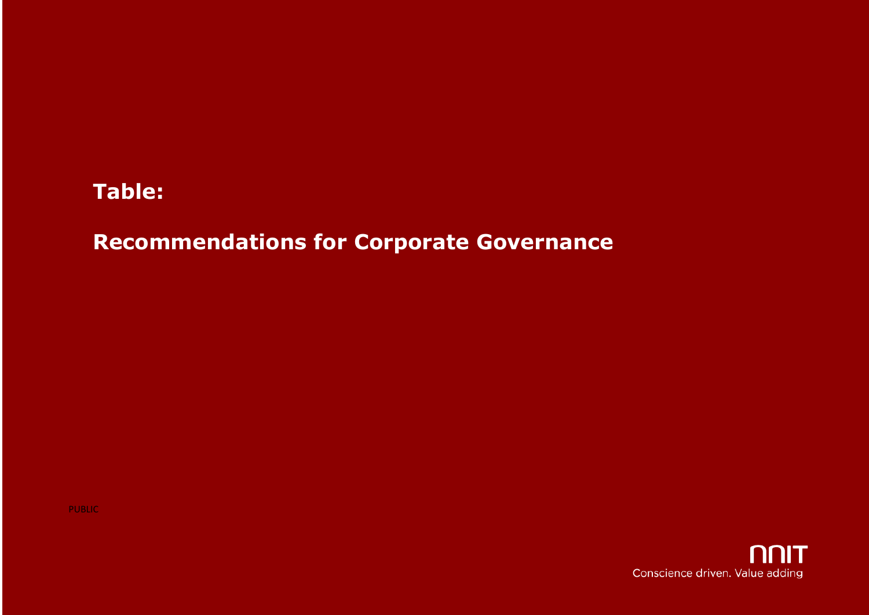#### **Table:**

#### **Recommendations for Corporate Governance**

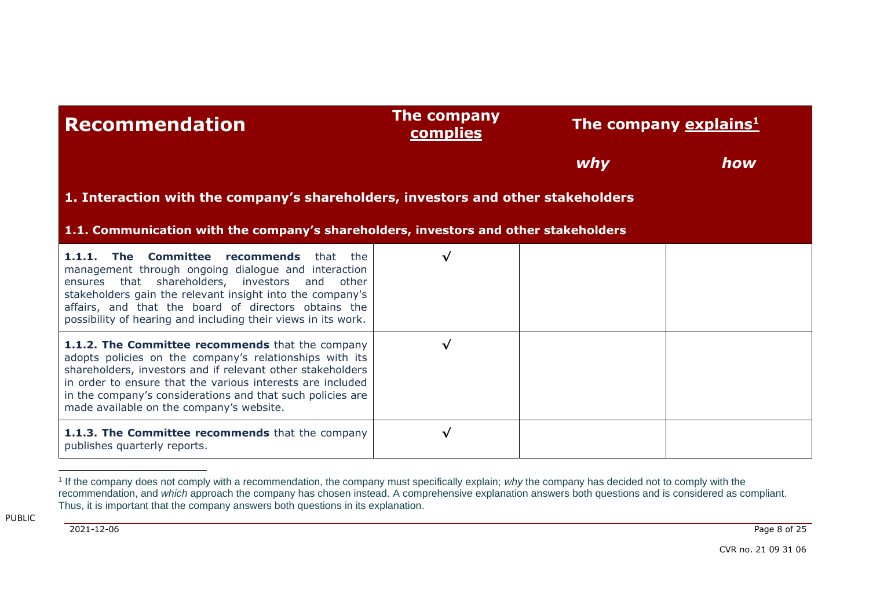| <b>Recommendation</b>                                                                                                                                                                                                                                                                                                                             | The company<br><b>complies</b> | The company explains <sup>1</sup> |     |
|---------------------------------------------------------------------------------------------------------------------------------------------------------------------------------------------------------------------------------------------------------------------------------------------------------------------------------------------------|--------------------------------|-----------------------------------|-----|
|                                                                                                                                                                                                                                                                                                                                                   |                                | why                               | how |
| 1. Interaction with the company's shareholders, investors and other stakeholders                                                                                                                                                                                                                                                                  |                                |                                   |     |
| 1.1. Communication with the company's shareholders, investors and other stakeholders                                                                                                                                                                                                                                                              |                                |                                   |     |
| 1.1.1. The Committee recommends<br>that<br>the<br>management through ongoing dialogue and interaction<br>ensures that shareholders, investors and other<br>stakeholders gain the relevant insight into the company's<br>affairs, and that the board of directors obtains the<br>possibility of hearing and including their views in its work.     | √                              |                                   |     |
| 1.1.2. The Committee recommends that the company<br>adopts policies on the company's relationships with its<br>shareholders, investors and if relevant other stakeholders<br>in order to ensure that the various interests are included<br>in the company's considerations and that such policies are<br>made available on the company's website. | √                              |                                   |     |
| 1.1.3. The Committee recommends that the company<br>publishes quarterly reports.                                                                                                                                                                                                                                                                  | √                              |                                   |     |

2021-12-06 Page 8 of 25

<sup>1</sup> If the company does not comply with a recommendation, the company must specifically explain; *why* the company has decided not to comply with the recommendation, and *which* approach the company has chosen instead. A comprehensive explanation answers both questions and is considered as compliant. Thus, it is important that the company answers both questions in its explanation.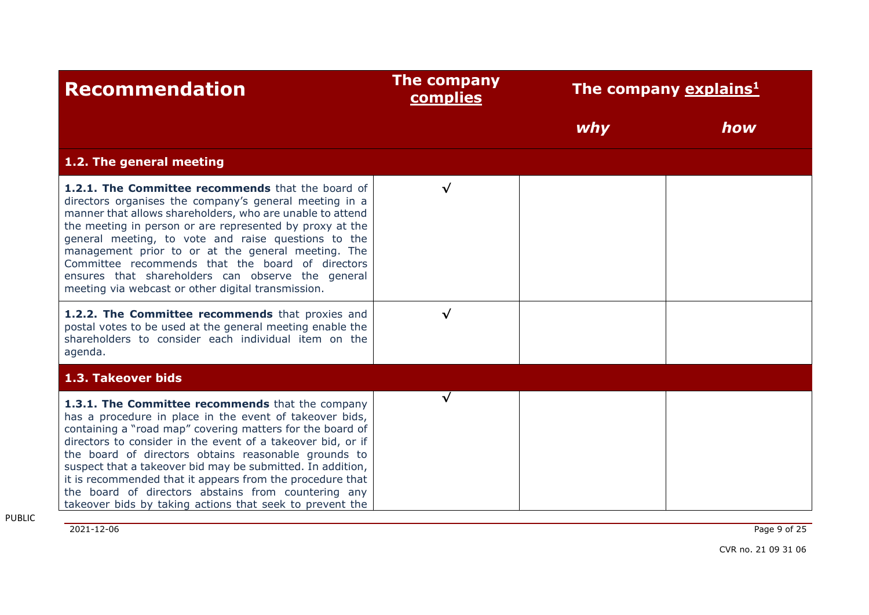| <b>Recommendation</b>                                                                                                                                                                                                                                                                                                                                                                                                                                                                                                                         | <b>The company</b><br><b>complies</b> | The company explains <sup>1</sup> |     |
|-----------------------------------------------------------------------------------------------------------------------------------------------------------------------------------------------------------------------------------------------------------------------------------------------------------------------------------------------------------------------------------------------------------------------------------------------------------------------------------------------------------------------------------------------|---------------------------------------|-----------------------------------|-----|
|                                                                                                                                                                                                                                                                                                                                                                                                                                                                                                                                               |                                       | why                               | how |
| 1.2. The general meeting                                                                                                                                                                                                                                                                                                                                                                                                                                                                                                                      |                                       |                                   |     |
| 1.2.1. The Committee recommends that the board of<br>directors organises the company's general meeting in a<br>manner that allows shareholders, who are unable to attend<br>the meeting in person or are represented by proxy at the<br>general meeting, to vote and raise questions to the<br>management prior to or at the general meeting. The<br>Committee recommends that the board of directors<br>ensures that shareholders can observe the general<br>meeting via webcast or other digital transmission.                              | $\checkmark$                          |                                   |     |
| 1.2.2. The Committee recommends that proxies and<br>postal votes to be used at the general meeting enable the<br>shareholders to consider each individual item on the<br>agenda.                                                                                                                                                                                                                                                                                                                                                              | √                                     |                                   |     |
| 1.3. Takeover bids                                                                                                                                                                                                                                                                                                                                                                                                                                                                                                                            |                                       |                                   |     |
| 1.3.1. The Committee recommends that the company<br>has a procedure in place in the event of takeover bids,<br>containing a "road map" covering matters for the board of<br>directors to consider in the event of a takeover bid, or if<br>the board of directors obtains reasonable grounds to<br>suspect that a takeover bid may be submitted. In addition,<br>it is recommended that it appears from the procedure that<br>the board of directors abstains from countering any<br>takeover bids by taking actions that seek to prevent the | √                                     |                                   |     |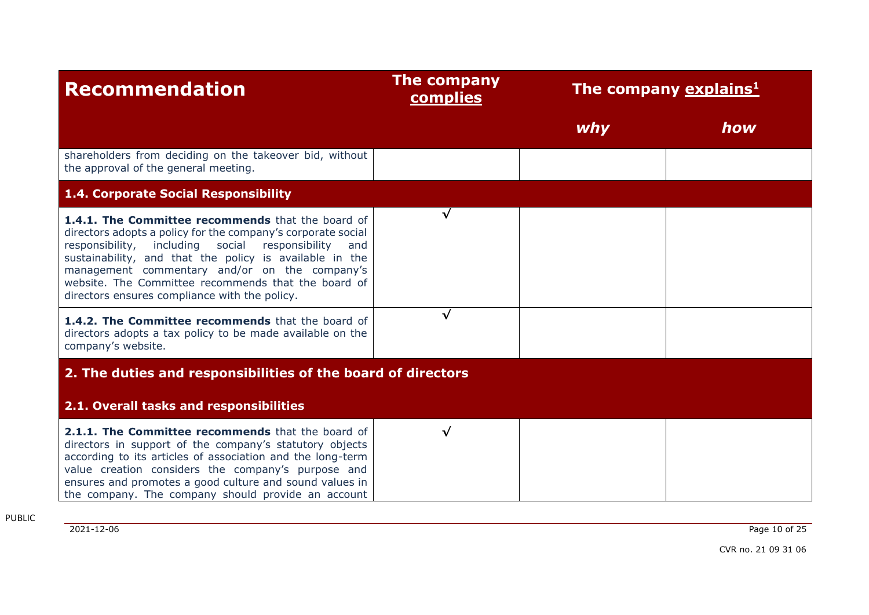| <b>Recommendation</b>                                                                                                                                                                                                                                                                                                                                                                           | The company<br>complies | The company explains <sup>1</sup> |     |
|-------------------------------------------------------------------------------------------------------------------------------------------------------------------------------------------------------------------------------------------------------------------------------------------------------------------------------------------------------------------------------------------------|-------------------------|-----------------------------------|-----|
|                                                                                                                                                                                                                                                                                                                                                                                                 |                         | why                               | how |
| shareholders from deciding on the takeover bid, without<br>the approval of the general meeting.                                                                                                                                                                                                                                                                                                 |                         |                                   |     |
| 1.4. Corporate Social Responsibility                                                                                                                                                                                                                                                                                                                                                            |                         |                                   |     |
| 1.4.1. The Committee recommends that the board of<br>directors adopts a policy for the company's corporate social<br>responsibility, including social responsibility<br>and<br>sustainability, and that the policy is available in the<br>management commentary and/or on the company's<br>website. The Committee recommends that the board of<br>directors ensures compliance with the policy. | √                       |                                   |     |
| 1.4.2. The Committee recommends that the board of<br>directors adopts a tax policy to be made available on the<br>company's website.                                                                                                                                                                                                                                                            | √                       |                                   |     |
| 2. The duties and responsibilities of the board of directors                                                                                                                                                                                                                                                                                                                                    |                         |                                   |     |
| 2.1. Overall tasks and responsibilities                                                                                                                                                                                                                                                                                                                                                         |                         |                                   |     |
| 2.1.1. The Committee recommends that the board of<br>directors in support of the company's statutory objects<br>according to its articles of association and the long-term<br>value creation considers the company's purpose and<br>ensures and promotes a good culture and sound values in<br>the company. The company should provide an account                                               | $\checkmark$            |                                   |     |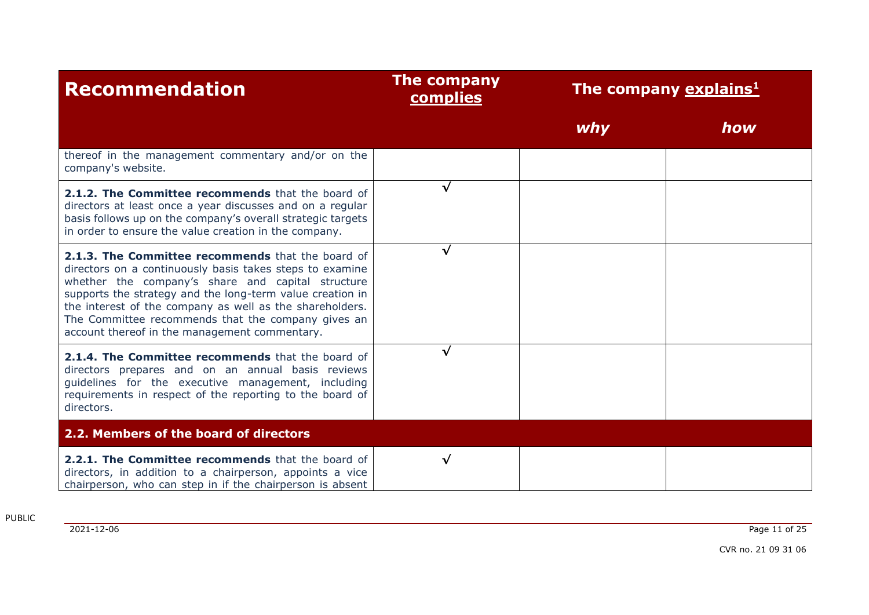| <b>Recommendation</b>                                                                                                                                                                                                                                                                                                                                                                              | <b>The company</b><br><b>complies</b> | The company explains <sup>1</sup> |     |
|----------------------------------------------------------------------------------------------------------------------------------------------------------------------------------------------------------------------------------------------------------------------------------------------------------------------------------------------------------------------------------------------------|---------------------------------------|-----------------------------------|-----|
|                                                                                                                                                                                                                                                                                                                                                                                                    |                                       | why                               | how |
| thereof in the management commentary and/or on the<br>company's website.                                                                                                                                                                                                                                                                                                                           |                                       |                                   |     |
| 2.1.2. The Committee recommends that the board of<br>directors at least once a year discusses and on a regular<br>basis follows up on the company's overall strategic targets<br>in order to ensure the value creation in the company.                                                                                                                                                             | √                                     |                                   |     |
| 2.1.3. The Committee recommends that the board of<br>directors on a continuously basis takes steps to examine<br>whether the company's share and capital structure<br>supports the strategy and the long-term value creation in<br>the interest of the company as well as the shareholders.<br>The Committee recommends that the company gives an<br>account thereof in the management commentary. | √                                     |                                   |     |
| 2.1.4. The Committee recommends that the board of<br>directors prepares and on an annual basis reviews<br>guidelines for the executive management, including<br>requirements in respect of the reporting to the board of<br>directors.                                                                                                                                                             | √                                     |                                   |     |
| 2.2. Members of the board of directors                                                                                                                                                                                                                                                                                                                                                             |                                       |                                   |     |
| 2.2.1. The Committee recommends that the board of<br>directors, in addition to a chairperson, appoints a vice<br>chairperson, who can step in if the chairperson is absent                                                                                                                                                                                                                         | √                                     |                                   |     |

2021-12-06 Page 11 of 25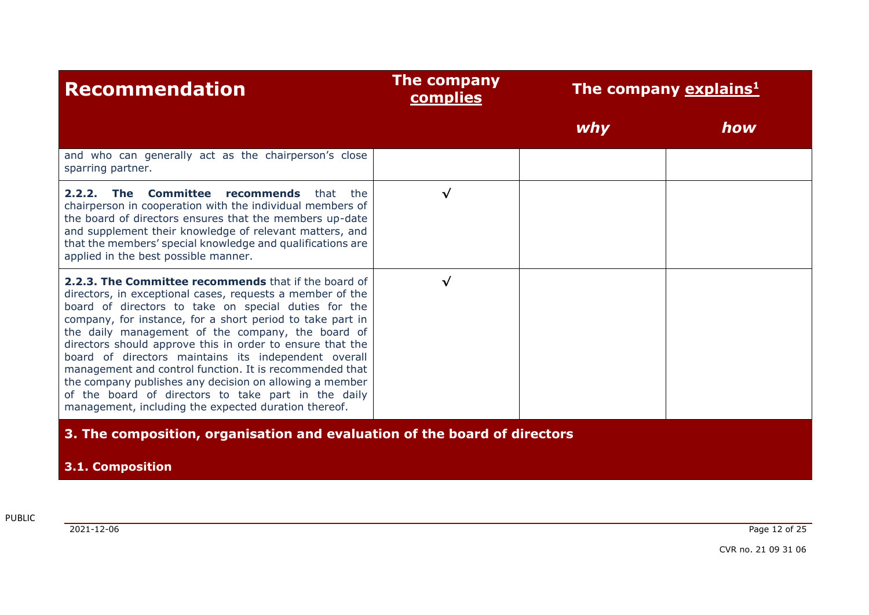| <b>Recommendation</b>                                                                                                                                                                                                                                                                                                                                                                                                                                                                                                                                                                                                                                 | The company<br><b>complies</b> | The company explains <sup>1</sup> |     |
|-------------------------------------------------------------------------------------------------------------------------------------------------------------------------------------------------------------------------------------------------------------------------------------------------------------------------------------------------------------------------------------------------------------------------------------------------------------------------------------------------------------------------------------------------------------------------------------------------------------------------------------------------------|--------------------------------|-----------------------------------|-----|
|                                                                                                                                                                                                                                                                                                                                                                                                                                                                                                                                                                                                                                                       |                                | why                               | how |
| and who can generally act as the chairperson's close<br>sparring partner.                                                                                                                                                                                                                                                                                                                                                                                                                                                                                                                                                                             |                                |                                   |     |
| <b>2.2.2. The Committee recommends</b> that<br>the<br>chairperson in cooperation with the individual members of<br>the board of directors ensures that the members up-date<br>and supplement their knowledge of relevant matters, and<br>that the members' special knowledge and qualifications are<br>applied in the best possible manner.                                                                                                                                                                                                                                                                                                           | $\checkmark$                   |                                   |     |
| 2.2.3. The Committee recommends that if the board of<br>directors, in exceptional cases, requests a member of the<br>board of directors to take on special duties for the<br>company, for instance, for a short period to take part in<br>the daily management of the company, the board of<br>directors should approve this in order to ensure that the<br>board of directors maintains its independent overall<br>management and control function. It is recommended that<br>the company publishes any decision on allowing a member<br>of the board of directors to take part in the daily<br>management, including the expected duration thereof. | $\sqrt{}$                      |                                   |     |
| 3. The composition, organisation and evaluation of the board of directors                                                                                                                                                                                                                                                                                                                                                                                                                                                                                                                                                                             |                                |                                   |     |
| <b>3.1. Composition</b>                                                                                                                                                                                                                                                                                                                                                                                                                                                                                                                                                                                                                               |                                |                                   |     |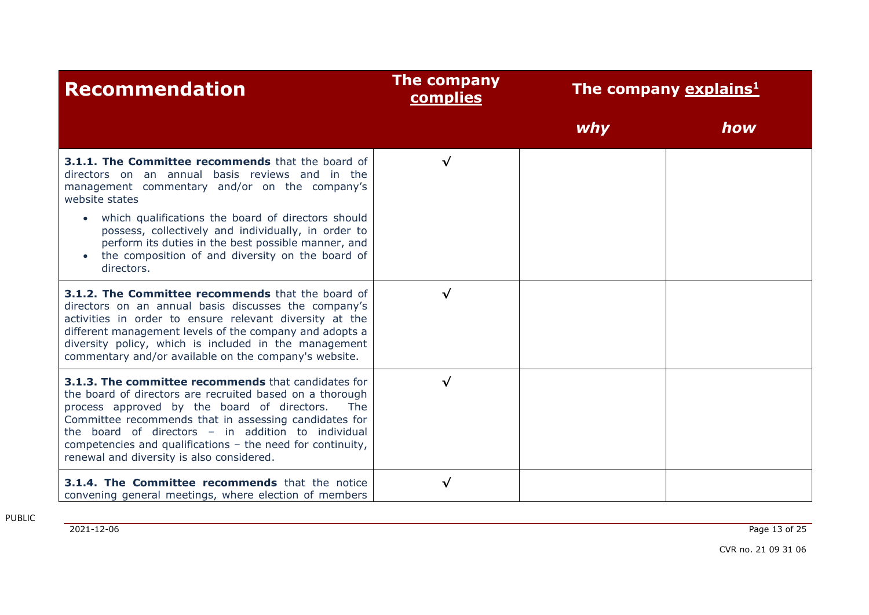| <b>Recommendation</b>                                                                                                                                                                                                                                                                                                                                                                           | The company<br>complies | The company explains <sup>1</sup> |     |
|-------------------------------------------------------------------------------------------------------------------------------------------------------------------------------------------------------------------------------------------------------------------------------------------------------------------------------------------------------------------------------------------------|-------------------------|-----------------------------------|-----|
|                                                                                                                                                                                                                                                                                                                                                                                                 |                         | why                               | how |
| 3.1.1. The Committee recommends that the board of<br>directors on an annual basis reviews and in the<br>management commentary and/or on the company's<br>website states                                                                                                                                                                                                                         | $\sqrt{ }$              |                                   |     |
| which qualifications the board of directors should<br>possess, collectively and individually, in order to<br>perform its duties in the best possible manner, and<br>the composition of and diversity on the board of<br>directors.                                                                                                                                                              |                         |                                   |     |
| 3.1.2. The Committee recommends that the board of<br>directors on an annual basis discusses the company's<br>activities in order to ensure relevant diversity at the<br>different management levels of the company and adopts a<br>diversity policy, which is included in the management<br>commentary and/or available on the company's website.                                               | $\checkmark$            |                                   |     |
| 3.1.3. The committee recommends that candidates for<br>the board of directors are recruited based on a thorough<br>process approved by the board of directors.<br>The<br>Committee recommends that in assessing candidates for<br>the board of directors - in addition to individual<br>competencies and qualifications - the need for continuity,<br>renewal and diversity is also considered. | $\checkmark$            |                                   |     |
| 3.1.4. The Committee recommends that the notice<br>convening general meetings, where election of members                                                                                                                                                                                                                                                                                        | √                       |                                   |     |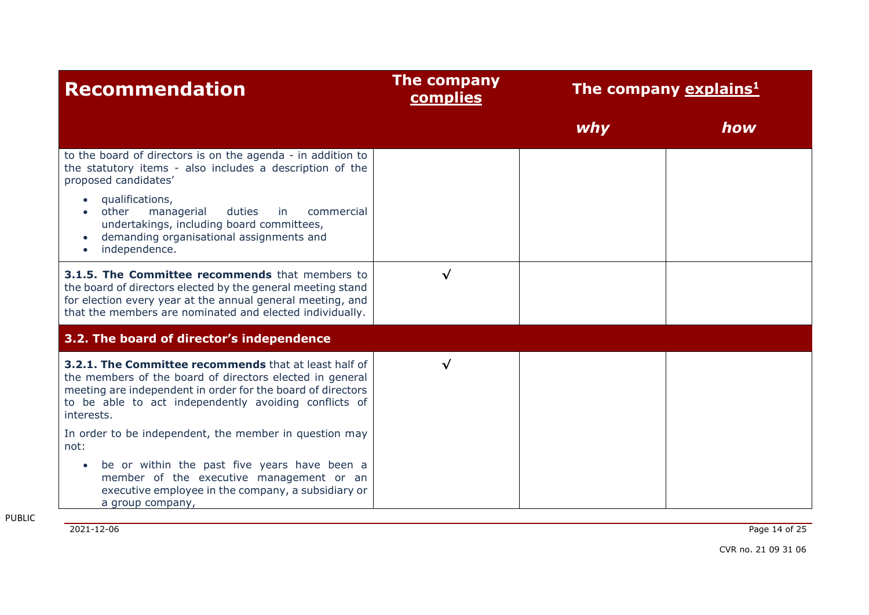| <b>Recommendation</b>                                                                                                                                                                                                                                   | <b>The company</b><br><b>complies</b> | The company explains <sup>1</sup> |     |
|---------------------------------------------------------------------------------------------------------------------------------------------------------------------------------------------------------------------------------------------------------|---------------------------------------|-----------------------------------|-----|
|                                                                                                                                                                                                                                                         |                                       | why                               | how |
| to the board of directors is on the agenda - in addition to<br>the statutory items - also includes a description of the<br>proposed candidates'                                                                                                         |                                       |                                   |     |
| qualifications,<br>other<br>duties<br>managerial<br>in<br>commercial<br>undertakings, including board committees,<br>demanding organisational assignments and<br>independence.                                                                          |                                       |                                   |     |
| 3.1.5. The Committee recommends that members to<br>the board of directors elected by the general meeting stand<br>for election every year at the annual general meeting, and<br>that the members are nominated and elected individually.                | $\checkmark$                          |                                   |     |
| 3.2. The board of director's independence                                                                                                                                                                                                               |                                       |                                   |     |
| 3.2.1. The Committee recommends that at least half of<br>the members of the board of directors elected in general<br>meeting are independent in order for the board of directors<br>to be able to act independently avoiding conflicts of<br>interests. | √                                     |                                   |     |
| In order to be independent, the member in question may<br>not:                                                                                                                                                                                          |                                       |                                   |     |
| be or within the past five years have been a<br>member of the executive management or an<br>executive employee in the company, a subsidiary or<br>a group company,                                                                                      |                                       |                                   |     |

2021-12-06 Page 14 of 25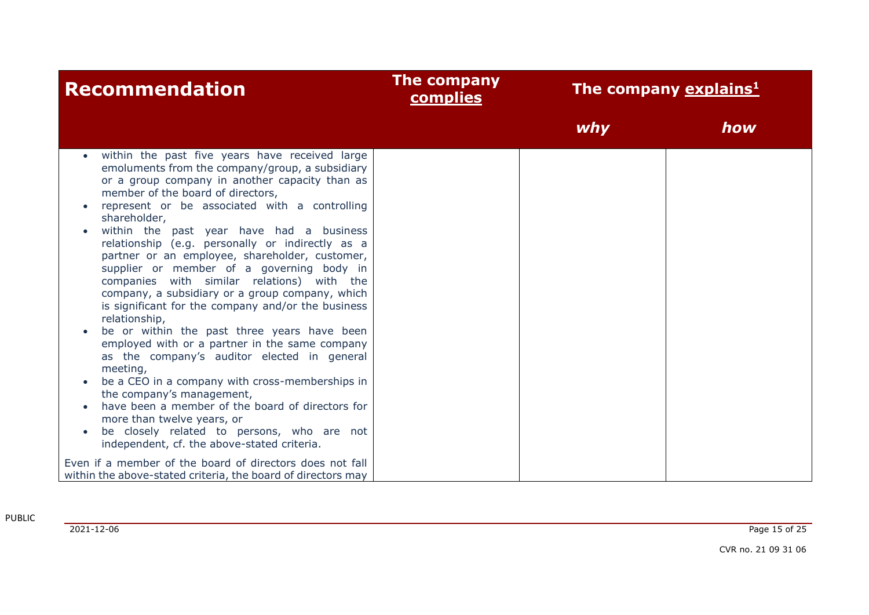| <b>Recommendation</b>                                                                                                                                                                                                                                                                                                                                                                                                                                                                                                                                                                                                                                                                                                                                                                                                                                                                                                                                                                                                                                       | The company<br><b>complies</b> |     | The company explains <sup>1</sup> |
|-------------------------------------------------------------------------------------------------------------------------------------------------------------------------------------------------------------------------------------------------------------------------------------------------------------------------------------------------------------------------------------------------------------------------------------------------------------------------------------------------------------------------------------------------------------------------------------------------------------------------------------------------------------------------------------------------------------------------------------------------------------------------------------------------------------------------------------------------------------------------------------------------------------------------------------------------------------------------------------------------------------------------------------------------------------|--------------------------------|-----|-----------------------------------|
|                                                                                                                                                                                                                                                                                                                                                                                                                                                                                                                                                                                                                                                                                                                                                                                                                                                                                                                                                                                                                                                             |                                | why | how                               |
| within the past five years have received large<br>emoluments from the company/group, a subsidiary<br>or a group company in another capacity than as<br>member of the board of directors,<br>represent or be associated with a controlling<br>shareholder,<br>within the past year have had a business<br>relationship (e.g. personally or indirectly as a<br>partner or an employee, shareholder, customer,<br>supplier or member of a governing body in<br>companies with similar relations) with the<br>company, a subsidiary or a group company, which<br>is significant for the company and/or the business<br>relationship,<br>be or within the past three years have been<br>employed with or a partner in the same company<br>as the company's auditor elected in general<br>meeting,<br>be a CEO in a company with cross-memberships in<br>the company's management,<br>have been a member of the board of directors for<br>more than twelve years, or<br>be closely related to persons, who are not<br>independent, cf. the above-stated criteria. |                                |     |                                   |
| Even if a member of the board of directors does not fall<br>within the above-stated criteria, the board of directors may                                                                                                                                                                                                                                                                                                                                                                                                                                                                                                                                                                                                                                                                                                                                                                                                                                                                                                                                    |                                |     |                                   |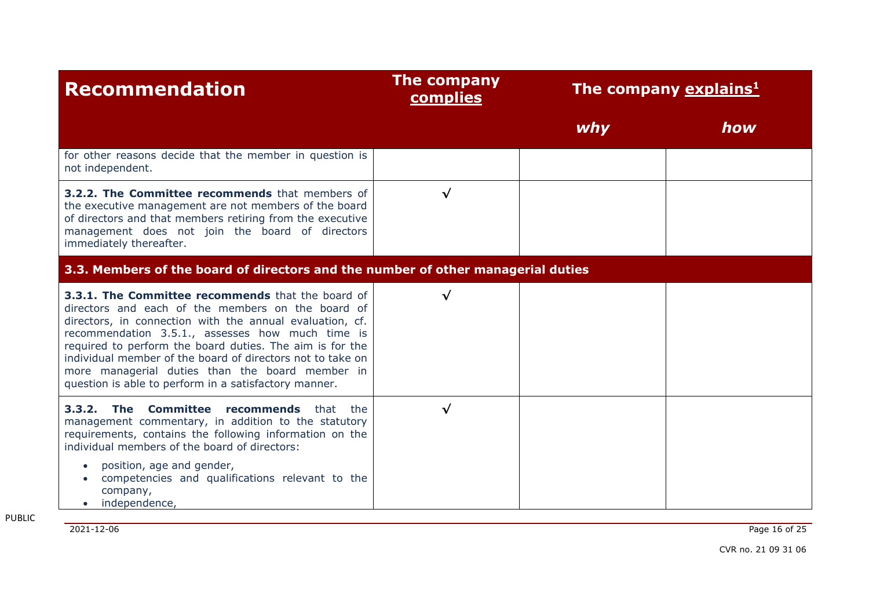| <b>Recommendation</b>                                                                                                                                                                                                                                                                                                                                                                                                                                        | The company<br><b>complies</b>                                                   | The company explains <sup>1</sup> |     |  |  |
|--------------------------------------------------------------------------------------------------------------------------------------------------------------------------------------------------------------------------------------------------------------------------------------------------------------------------------------------------------------------------------------------------------------------------------------------------------------|----------------------------------------------------------------------------------|-----------------------------------|-----|--|--|
|                                                                                                                                                                                                                                                                                                                                                                                                                                                              |                                                                                  | why                               | how |  |  |
| for other reasons decide that the member in question is<br>not independent.                                                                                                                                                                                                                                                                                                                                                                                  |                                                                                  |                                   |     |  |  |
| <b>3.2.2. The Committee recommends</b> that members of<br>the executive management are not members of the board<br>of directors and that members retiring from the executive<br>management does not join the board of directors<br>immediately thereafter.                                                                                                                                                                                                   | √                                                                                |                                   |     |  |  |
|                                                                                                                                                                                                                                                                                                                                                                                                                                                              | 3.3. Members of the board of directors and the number of other managerial duties |                                   |     |  |  |
| 3.3.1. The Committee recommends that the board of<br>directors and each of the members on the board of<br>directors, in connection with the annual evaluation, cf.<br>recommendation 3.5.1., assesses how much time is<br>required to perform the board duties. The aim is for the<br>individual member of the board of directors not to take on<br>more managerial duties than the board member in<br>question is able to perform in a satisfactory manner. | $\checkmark$                                                                     |                                   |     |  |  |
| 3.3.2. The Committee<br>recommends<br>that<br>the<br>management commentary, in addition to the statutory<br>requirements, contains the following information on the<br>individual members of the board of directors:<br>position, age and gender,<br>competencies and qualifications relevant to the<br>company,<br>independence,                                                                                                                            | $\checkmark$                                                                     |                                   |     |  |  |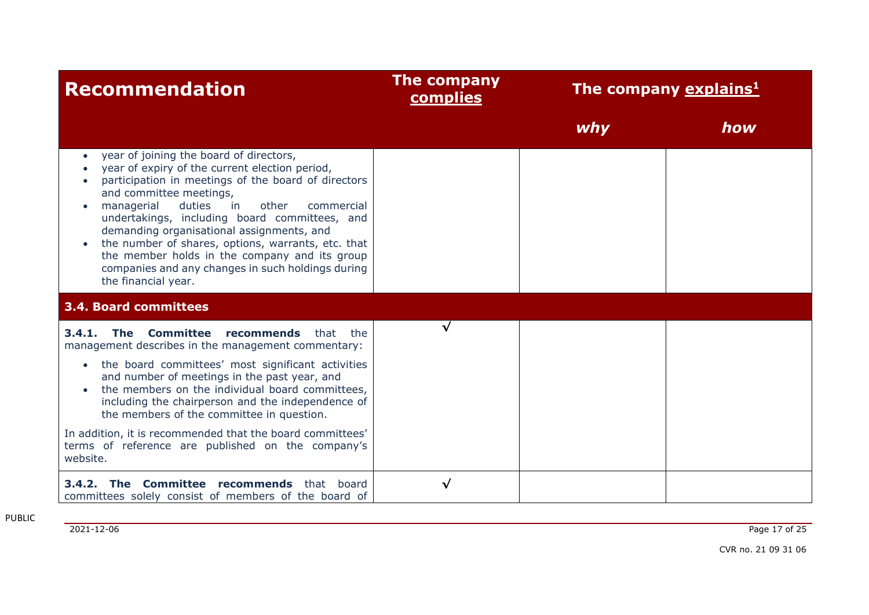| <b>Recommendation</b>                                                                                                                                                                                                                                                                                                                                                                                                                                                                                                          | <b>The company</b><br>complies |     | The company explains <sup>1</sup> |
|--------------------------------------------------------------------------------------------------------------------------------------------------------------------------------------------------------------------------------------------------------------------------------------------------------------------------------------------------------------------------------------------------------------------------------------------------------------------------------------------------------------------------------|--------------------------------|-----|-----------------------------------|
|                                                                                                                                                                                                                                                                                                                                                                                                                                                                                                                                |                                | why | how                               |
| year of joining the board of directors,<br>$\bullet$<br>year of expiry of the current election period,<br>participation in meetings of the board of directors<br>and committee meetings,<br>other<br>managerial<br>duties<br>in<br>commercial<br>undertakings, including board committees, and<br>demanding organisational assignments, and<br>the number of shares, options, warrants, etc. that<br>the member holds in the company and its group<br>companies and any changes in such holdings during<br>the financial year. |                                |     |                                   |
| <b>3.4. Board committees</b>                                                                                                                                                                                                                                                                                                                                                                                                                                                                                                   |                                |     |                                   |
| The Committee recommends<br>3.4.1.<br>that the<br>management describes in the management commentary:                                                                                                                                                                                                                                                                                                                                                                                                                           | √                              |     |                                   |
| • the board committees' most significant activities<br>and number of meetings in the past year, and<br>the members on the individual board committees,<br>including the chairperson and the independence of<br>the members of the committee in question.                                                                                                                                                                                                                                                                       |                                |     |                                   |
| In addition, it is recommended that the board committees'<br>terms of reference are published on the company's<br>website.                                                                                                                                                                                                                                                                                                                                                                                                     |                                |     |                                   |
| 3.4.2. The Committee recommends that board<br>committees solely consist of members of the board of                                                                                                                                                                                                                                                                                                                                                                                                                             | √                              |     |                                   |

2021-12-06 Page 17 of 25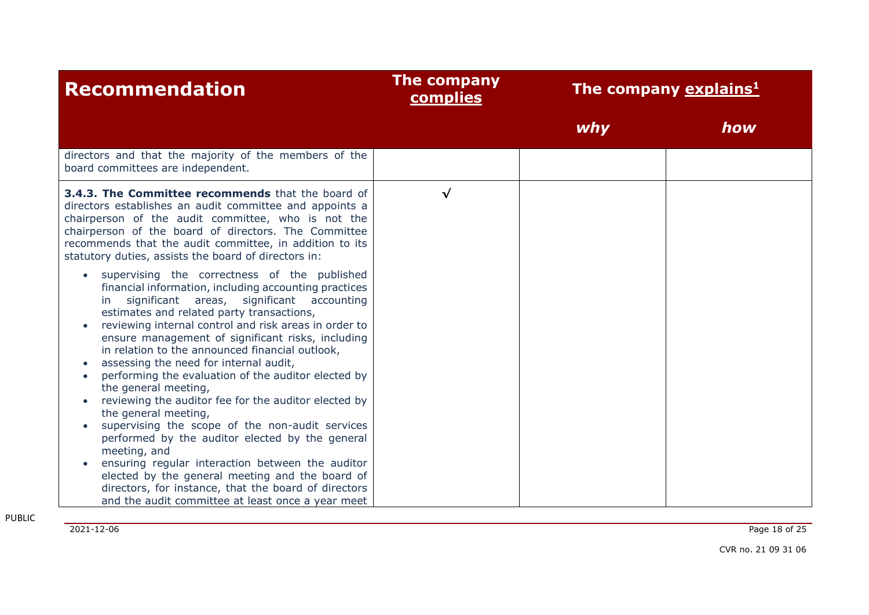| <b>Recommendation</b>                                                                                                                                                                                                                                                                                                                                                                                                                                                                                                                                                                                                                                                                                                                                                                                                                                                                                                               | The company<br><b>complies</b> |     | The company explains <sup>1</sup> |
|-------------------------------------------------------------------------------------------------------------------------------------------------------------------------------------------------------------------------------------------------------------------------------------------------------------------------------------------------------------------------------------------------------------------------------------------------------------------------------------------------------------------------------------------------------------------------------------------------------------------------------------------------------------------------------------------------------------------------------------------------------------------------------------------------------------------------------------------------------------------------------------------------------------------------------------|--------------------------------|-----|-----------------------------------|
|                                                                                                                                                                                                                                                                                                                                                                                                                                                                                                                                                                                                                                                                                                                                                                                                                                                                                                                                     |                                | why | how                               |
| directors and that the majority of the members of the<br>board committees are independent.                                                                                                                                                                                                                                                                                                                                                                                                                                                                                                                                                                                                                                                                                                                                                                                                                                          |                                |     |                                   |
| 3.4.3. The Committee recommends that the board of<br>directors establishes an audit committee and appoints a<br>chairperson of the audit committee, who is not the<br>chairperson of the board of directors. The Committee<br>recommends that the audit committee, in addition to its<br>statutory duties, assists the board of directors in:                                                                                                                                                                                                                                                                                                                                                                                                                                                                                                                                                                                       | $\sqrt{}$                      |     |                                   |
| supervising the correctness of the published<br>financial information, including accounting practices<br>significant areas, significant accounting<br>$\mathsf{I}$<br>estimates and related party transactions,<br>reviewing internal control and risk areas in order to<br>ensure management of significant risks, including<br>in relation to the announced financial outlook,<br>assessing the need for internal audit,<br>performing the evaluation of the auditor elected by<br>the general meeting,<br>reviewing the auditor fee for the auditor elected by<br>the general meeting,<br>supervising the scope of the non-audit services<br>performed by the auditor elected by the general<br>meeting, and<br>ensuring regular interaction between the auditor<br>elected by the general meeting and the board of<br>directors, for instance, that the board of directors<br>and the audit committee at least once a year meet |                                |     |                                   |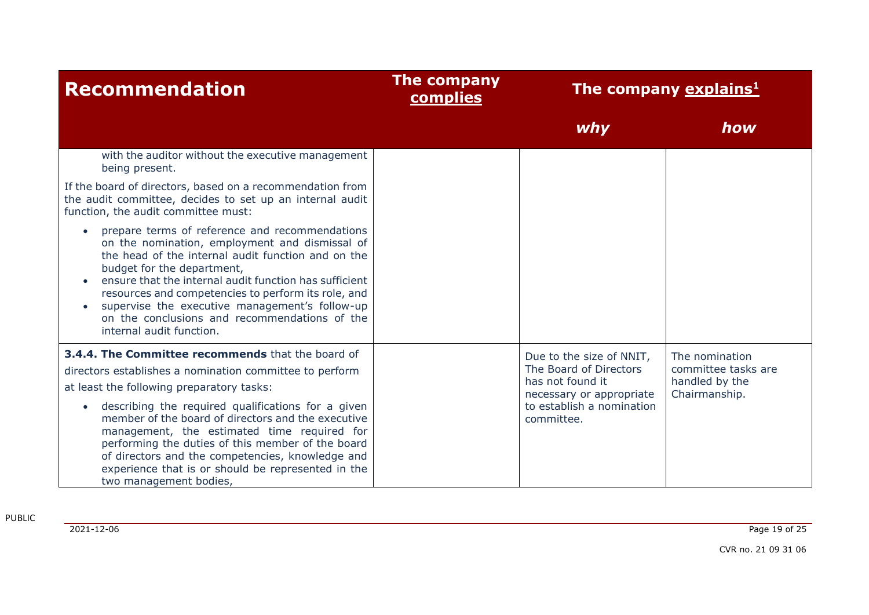| <b>Recommendation</b>                                                                                                                                                                                                                                                                                                                                                                                                                | The company<br><b>complies</b>                                                       | The company explains <sup>1</sup> |                                                                          |
|--------------------------------------------------------------------------------------------------------------------------------------------------------------------------------------------------------------------------------------------------------------------------------------------------------------------------------------------------------------------------------------------------------------------------------------|--------------------------------------------------------------------------------------|-----------------------------------|--------------------------------------------------------------------------|
|                                                                                                                                                                                                                                                                                                                                                                                                                                      |                                                                                      | why                               | how                                                                      |
| with the auditor without the executive management<br>being present.                                                                                                                                                                                                                                                                                                                                                                  |                                                                                      |                                   |                                                                          |
| If the board of directors, based on a recommendation from<br>the audit committee, decides to set up an internal audit<br>function, the audit committee must:                                                                                                                                                                                                                                                                         |                                                                                      |                                   |                                                                          |
| prepare terms of reference and recommendations<br>on the nomination, employment and dismissal of<br>the head of the internal audit function and on the<br>budget for the department,<br>ensure that the internal audit function has sufficient<br>resources and competencies to perform its role, and<br>supervise the executive management's follow-up<br>on the conclusions and recommendations of the<br>internal audit function. |                                                                                      |                                   |                                                                          |
| 3.4.4. The Committee recommends that the board of<br>directors establishes a nomination committee to perform<br>at least the following preparatory tasks:                                                                                                                                                                                                                                                                            | The Board of Directors<br>has not found it<br>necessary or appropriate<br>committee. | Due to the size of NNIT,          | The nomination<br>committee tasks are<br>handled by the<br>Chairmanship. |
| describing the required qualifications for a given<br>member of the board of directors and the executive<br>management, the estimated time required for<br>performing the duties of this member of the board<br>of directors and the competencies, knowledge and<br>experience that is or should be represented in the<br>two management bodies,                                                                                     |                                                                                      | to establish a nomination         |                                                                          |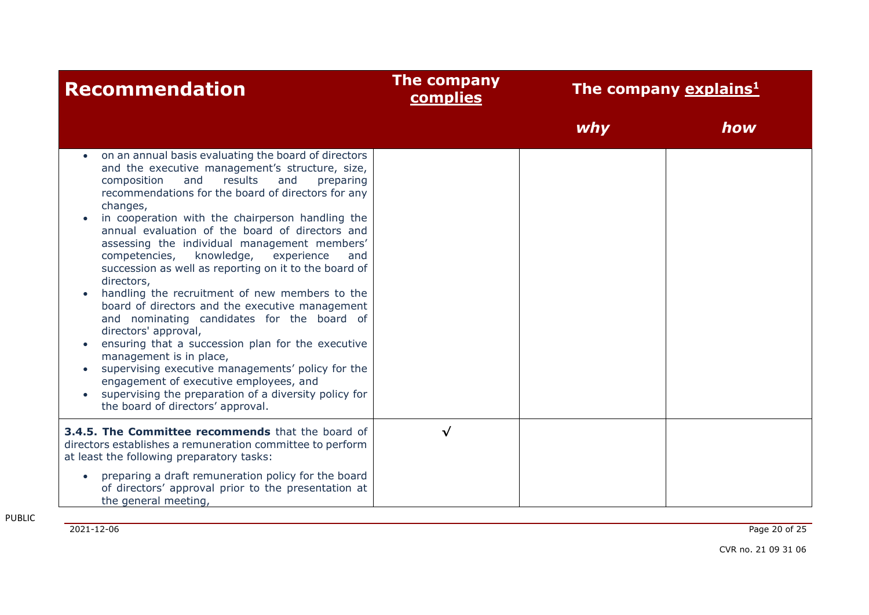| <b>Recommendation</b>                                                                                                                                                                                                                                                                                                                                                                                                                                                                                                                                                                                                                                                                                                                                                                                                                                                                                                                                                    | The company<br>complies | The company explains <sup>1</sup> |     |
|--------------------------------------------------------------------------------------------------------------------------------------------------------------------------------------------------------------------------------------------------------------------------------------------------------------------------------------------------------------------------------------------------------------------------------------------------------------------------------------------------------------------------------------------------------------------------------------------------------------------------------------------------------------------------------------------------------------------------------------------------------------------------------------------------------------------------------------------------------------------------------------------------------------------------------------------------------------------------|-------------------------|-----------------------------------|-----|
|                                                                                                                                                                                                                                                                                                                                                                                                                                                                                                                                                                                                                                                                                                                                                                                                                                                                                                                                                                          |                         | <i>why</i>                        | how |
| on an annual basis evaluating the board of directors<br>and the executive management's structure, size,<br>and<br>results<br>composition<br>and<br>preparing<br>recommendations for the board of directors for any<br>changes,<br>in cooperation with the chairperson handling the<br>annual evaluation of the board of directors and<br>assessing the individual management members'<br>knowledge,<br>competencies,<br>experience<br>and<br>succession as well as reporting on it to the board of<br>directors,<br>handling the recruitment of new members to the<br>board of directors and the executive management<br>and nominating candidates for the board of<br>directors' approval,<br>ensuring that a succession plan for the executive<br>management is in place,<br>supervising executive managements' policy for the<br>engagement of executive employees, and<br>supervising the preparation of a diversity policy for<br>the board of directors' approval. |                         |                                   |     |
| 3.4.5. The Committee recommends that the board of<br>directors establishes a remuneration committee to perform<br>at least the following preparatory tasks:                                                                                                                                                                                                                                                                                                                                                                                                                                                                                                                                                                                                                                                                                                                                                                                                              | √                       |                                   |     |
| preparing a draft remuneration policy for the board<br>of directors' approval prior to the presentation at<br>the general meeting,                                                                                                                                                                                                                                                                                                                                                                                                                                                                                                                                                                                                                                                                                                                                                                                                                                       |                         |                                   |     |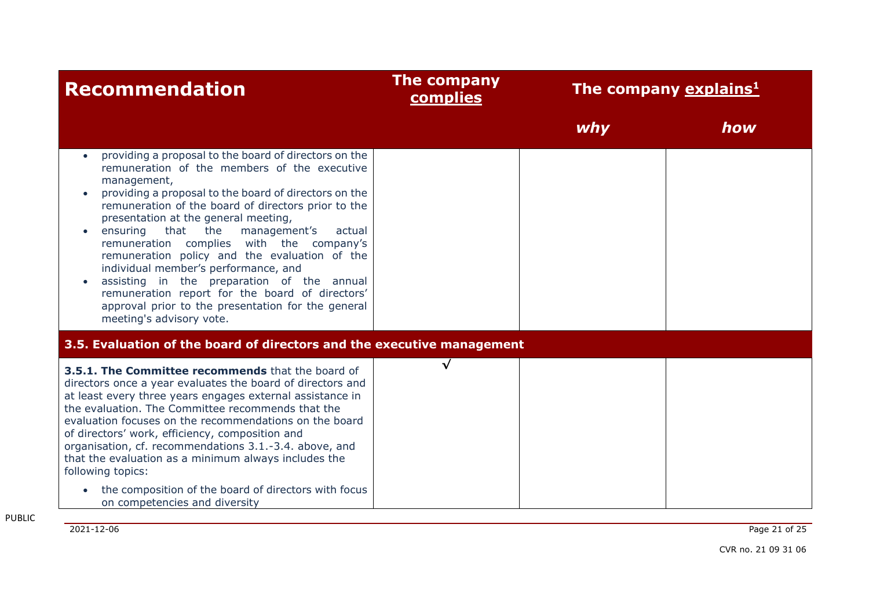| <b>Recommendation</b>                                                                                                                                                                                                                                                                                                                                                                                                                                                                                                                                                                                                                                  | The company<br>complies | The company explains <sup>1</sup> |     |
|--------------------------------------------------------------------------------------------------------------------------------------------------------------------------------------------------------------------------------------------------------------------------------------------------------------------------------------------------------------------------------------------------------------------------------------------------------------------------------------------------------------------------------------------------------------------------------------------------------------------------------------------------------|-------------------------|-----------------------------------|-----|
|                                                                                                                                                                                                                                                                                                                                                                                                                                                                                                                                                                                                                                                        |                         | why                               | how |
| providing a proposal to the board of directors on the<br>remuneration of the members of the executive<br>management,<br>providing a proposal to the board of directors on the<br>remuneration of the board of directors prior to the<br>presentation at the general meeting,<br>that the<br>ensuring<br>management's<br>actual<br>remuneration complies with the company's<br>remuneration policy and the evaluation of the<br>individual member's performance, and<br>assisting in the preparation of the annual<br>remuneration report for the board of directors'<br>approval prior to the presentation for the general<br>meeting's advisory vote. |                         |                                   |     |
| 3.5. Evaluation of the board of directors and the executive management                                                                                                                                                                                                                                                                                                                                                                                                                                                                                                                                                                                 |                         |                                   |     |
| 3.5.1. The Committee recommends that the board of<br>directors once a year evaluates the board of directors and<br>at least every three years engages external assistance in<br>the evaluation. The Committee recommends that the<br>evaluation focuses on the recommendations on the board<br>of directors' work, efficiency, composition and<br>organisation, cf. recommendations 3.1.-3.4. above, and<br>that the evaluation as a minimum always includes the<br>following topics:<br>the composition of the board of directors with focus<br>on competencies and diversity                                                                         | $\checkmark$            |                                   |     |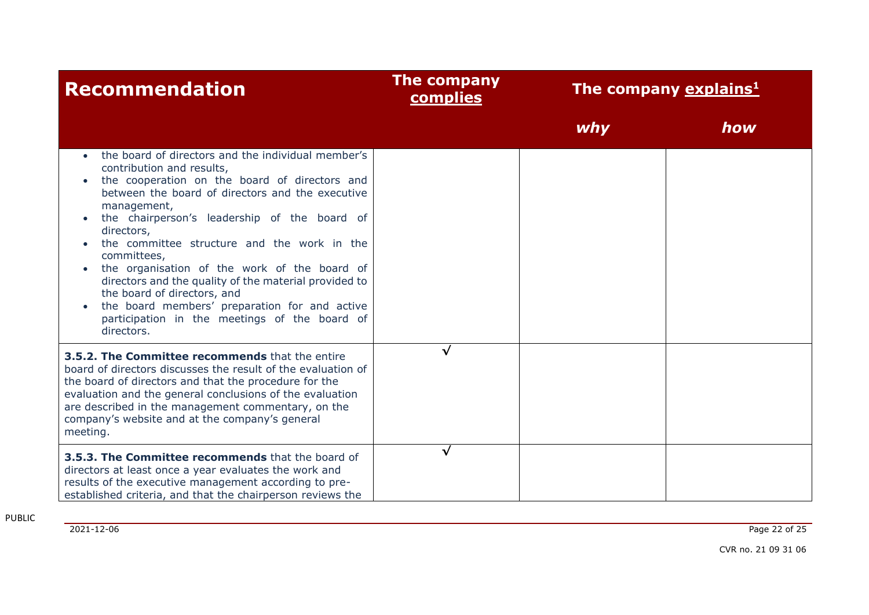| <b>Recommendation</b>                                                                                                                                                                                                                                                                                                                                                                                                                                                                                                                                                                                             | The company<br><b>complies</b> | The company explains <sup>1</sup> |     |
|-------------------------------------------------------------------------------------------------------------------------------------------------------------------------------------------------------------------------------------------------------------------------------------------------------------------------------------------------------------------------------------------------------------------------------------------------------------------------------------------------------------------------------------------------------------------------------------------------------------------|--------------------------------|-----------------------------------|-----|
|                                                                                                                                                                                                                                                                                                                                                                                                                                                                                                                                                                                                                   |                                | why                               | how |
| the board of directors and the individual member's<br>contribution and results,<br>the cooperation on the board of directors and<br>$\bullet$<br>between the board of directors and the executive<br>management,<br>the chairperson's leadership of the board of<br>directors,<br>the committee structure and the work in the<br>committees,<br>the organisation of the work of the board of<br>$\bullet$<br>directors and the quality of the material provided to<br>the board of directors, and<br>the board members' preparation for and active<br>participation in the meetings of the board of<br>directors. |                                |                                   |     |
| 3.5.2. The Committee recommends that the entire<br>board of directors discusses the result of the evaluation of<br>the board of directors and that the procedure for the<br>evaluation and the general conclusions of the evaluation<br>are described in the management commentary, on the<br>company's website and at the company's general<br>meeting.                                                                                                                                                                                                                                                          | $\sqrt{ }$                     |                                   |     |
| 3.5.3. The Committee recommends that the board of<br>directors at least once a year evaluates the work and<br>results of the executive management according to pre-<br>established criteria, and that the chairperson reviews the                                                                                                                                                                                                                                                                                                                                                                                 | $\sqrt{ }$                     |                                   |     |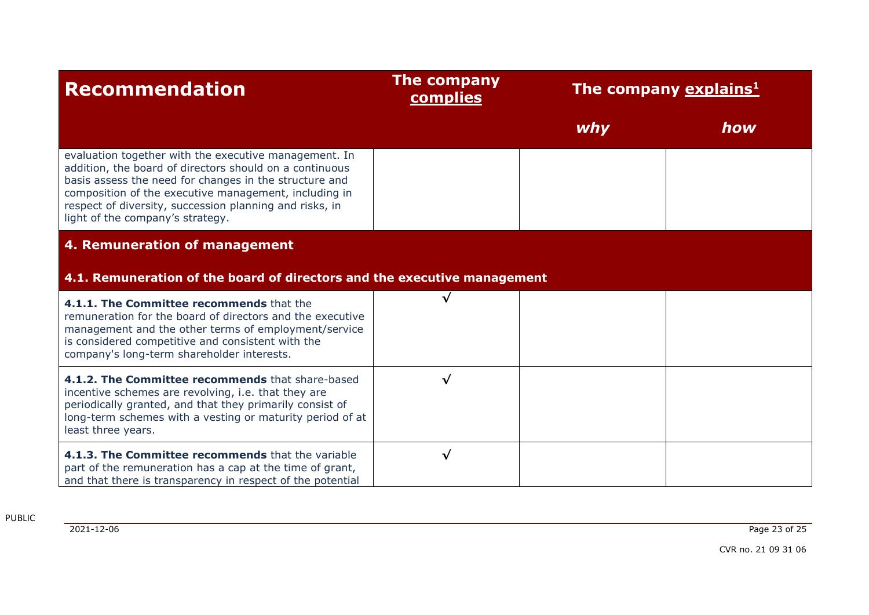| <b>Recommendation</b>                                                                                                                                                                                                                                                                                                              | <b>The company</b><br>complies | The company explains <sup>1</sup> |     |
|------------------------------------------------------------------------------------------------------------------------------------------------------------------------------------------------------------------------------------------------------------------------------------------------------------------------------------|--------------------------------|-----------------------------------|-----|
|                                                                                                                                                                                                                                                                                                                                    |                                | why                               | how |
| evaluation together with the executive management. In<br>addition, the board of directors should on a continuous<br>basis assess the need for changes in the structure and<br>composition of the executive management, including in<br>respect of diversity, succession planning and risks, in<br>light of the company's strategy. |                                |                                   |     |
| 4. Remuneration of management                                                                                                                                                                                                                                                                                                      |                                |                                   |     |
| 4.1. Remuneration of the board of directors and the executive management                                                                                                                                                                                                                                                           |                                |                                   |     |
| 4.1.1. The Committee recommends that the<br>remuneration for the board of directors and the executive<br>management and the other terms of employment/service<br>is considered competitive and consistent with the<br>company's long-term shareholder interests.                                                                   | $\checkmark$                   |                                   |     |
| 4.1.2. The Committee recommends that share-based<br>incentive schemes are revolving, i.e. that they are<br>periodically granted, and that they primarily consist of<br>long-term schemes with a vesting or maturity period of at<br>least three years.                                                                             | √                              |                                   |     |
| 4.1.3. The Committee recommends that the variable<br>part of the remuneration has a cap at the time of grant,<br>and that there is transparency in respect of the potential                                                                                                                                                        | √                              |                                   |     |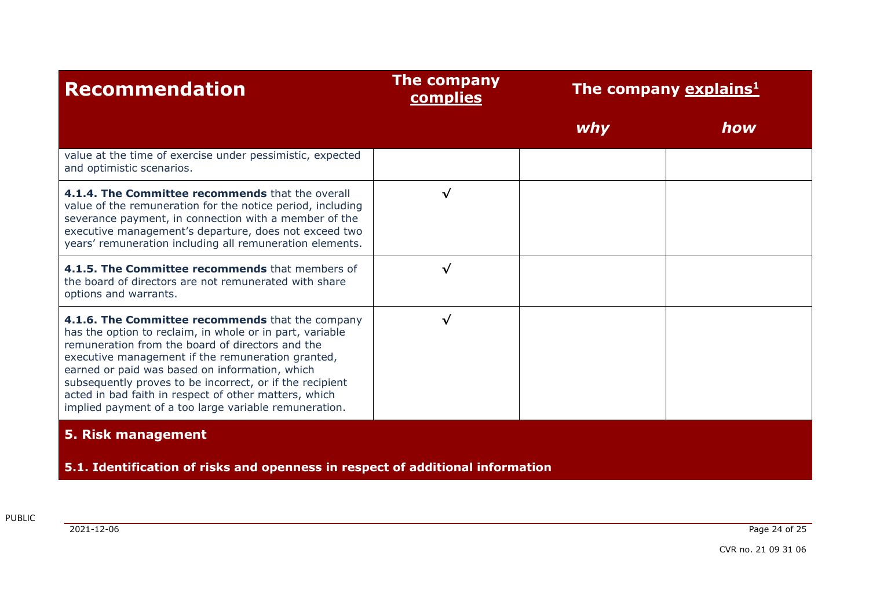| <b>Recommendation</b>                                                                                                                                                                                                                                                                                                                                                                                                                                 | The company<br>complies | The company explains <sup>1</sup> |     |
|-------------------------------------------------------------------------------------------------------------------------------------------------------------------------------------------------------------------------------------------------------------------------------------------------------------------------------------------------------------------------------------------------------------------------------------------------------|-------------------------|-----------------------------------|-----|
|                                                                                                                                                                                                                                                                                                                                                                                                                                                       |                         | why                               | how |
| value at the time of exercise under pessimistic, expected<br>and optimistic scenarios.                                                                                                                                                                                                                                                                                                                                                                |                         |                                   |     |
| 4.1.4. The Committee recommends that the overall<br>value of the remuneration for the notice period, including<br>severance payment, in connection with a member of the<br>executive management's departure, does not exceed two<br>years' remuneration including all remuneration elements.                                                                                                                                                          | $\checkmark$            |                                   |     |
| 4.1.5. The Committee recommends that members of<br>the board of directors are not remunerated with share<br>options and warrants.                                                                                                                                                                                                                                                                                                                     | $\checkmark$            |                                   |     |
| 4.1.6. The Committee recommends that the company<br>has the option to reclaim, in whole or in part, variable<br>remuneration from the board of directors and the<br>executive management if the remuneration granted,<br>earned or paid was based on information, which<br>subsequently proves to be incorrect, or if the recipient<br>acted in bad faith in respect of other matters, which<br>implied payment of a too large variable remuneration. | √                       |                                   |     |
| 5. Risk management                                                                                                                                                                                                                                                                                                                                                                                                                                    |                         |                                   |     |
| 5.1. Identification of risks and openness in respect of additional information                                                                                                                                                                                                                                                                                                                                                                        |                         |                                   |     |